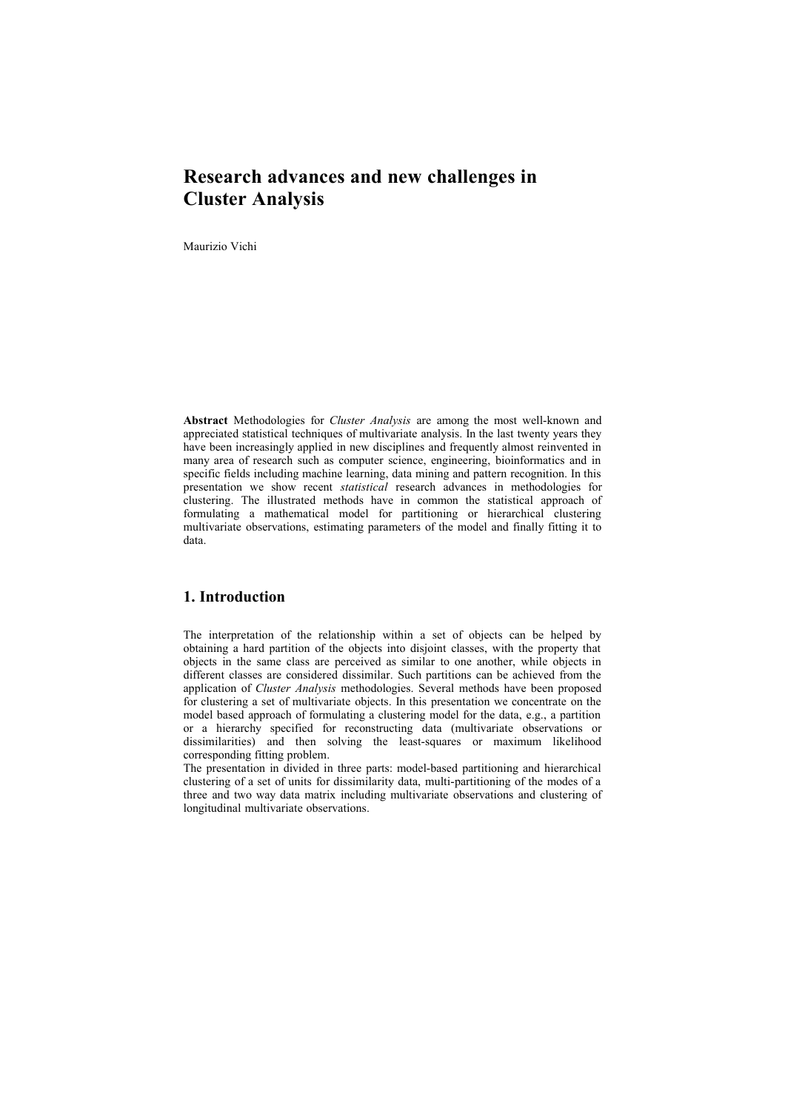# **Research advances and new challenges in Cluster Analysis**

Maurizio Vichi

**Abstract** Methodologies for *Cluster Analysis* are among the most well-known and appreciated statistical techniques of multivariate analysis. In the last twenty years they have been increasingly applied in new disciplines and frequently almost reinvented in many area of research such as computer science, engineering, bioinformatics and in specific fields including machine learning, data mining and pattern recognition. In this presentation we show recent *statistical* research advances in methodologies for clustering. The illustrated methods have in common the statistical approach of formulating a mathematical model for partitioning or hierarchical clustering multivariate observations, estimating parameters of the model and finally fitting it to data.

## **1. Introduction**

The interpretation of the relationship within a set of objects can be helped by obtaining a hard partition of the objects into disjoint classes, with the property that objects in the same class are perceived as similar to one another, while objects in different classes are considered dissimilar. Such partitions can be achieved from the application of *Cluster Analysis* methodologies. Several methods have been proposed for clustering a set of multivariate objects. In this presentation we concentrate on the model based approach of formulating a clustering model for the data, e.g., a partition or a hierarchy specified for reconstructing data (multivariate observations or dissimilarities) and then solving the least-squares or maximum likelihood corresponding fitting problem.

The presentation in divided in three parts: model-based partitioning and hierarchical clustering of a set of units for dissimilarity data, multi-partitioning of the modes of a three and two way data matrix including multivariate observations and clustering of longitudinal multivariate observations.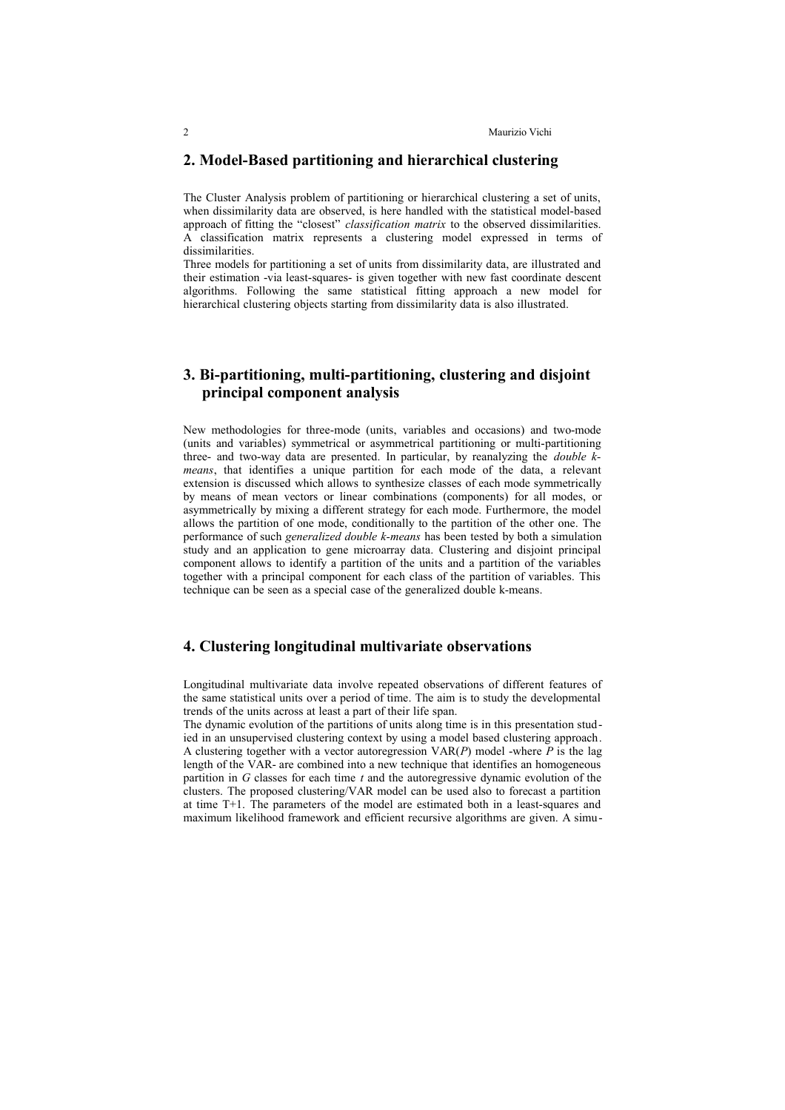#### **2. Model-Based partitioning and hierarchical clustering**

The Cluster Analysis problem of partitioning or hierarchical clustering a set of units, when dissimilarity data are observed, is here handled with the statistical model-based approach of fitting the "closest" *classification matrix* to the observed dissimilarities. A classification matrix represents a clustering model expressed in terms of dissimilarities.

Three models for partitioning a set of units from dissimilarity data, are illustrated and their estimation -via least-squares- is given together with new fast coordinate descent algorithms. Following the same statistical fitting approach a new model for hierarchical clustering objects starting from dissimilarity data is also illustrated.

## **3. Bi-partitioning, multi-partitioning, clustering and disjoint principal component analysis**

New methodologies for three-mode (units, variables and occasions) and two-mode (units and variables) symmetrical or asymmetrical partitioning or multi-partitioning three- and two-way data are presented. In particular, by reanalyzing the *double kmeans*, that identifies a unique partition for each mode of the data, a relevant extension is discussed which allows to synthesize classes of each mode symmetrically by means of mean vectors or linear combinations (components) for all modes, or asymmetrically by mixing a different strategy for each mode. Furthermore, the model allows the partition of one mode, conditionally to the partition of the other one. The performance of such *generalized double k-means* has been tested by both a simulation study and an application to gene microarray data. Clustering and disjoint principal component allows to identify a partition of the units and a partition of the variables together with a principal component for each class of the partition of variables. This technique can be seen as a special case of the generalized double k-means.

## **4. Clustering longitudinal multivariate observations**

Longitudinal multivariate data involve repeated observations of different features of the same statistical units over a period of time. The aim is to study the developmental trends of the units across at least a part of their life span.

The dynamic evolution of the partitions of units along time is in this presentation studied in an unsupervised clustering context by using a model based clustering approach. A clustering together with a vector autoregression VAR(*P*) model -where *P* is the lag length of the VAR- are combined into a new technique that identifies an homogeneous partition in *G* classes for each time *t* and the autoregressive dynamic evolution of the clusters. The proposed clustering/VAR model can be used also to forecast a partition at time T+1. The parameters of the model are estimated both in a least-squares and maximum likelihood framework and efficient recursive algorithms are given. A simu